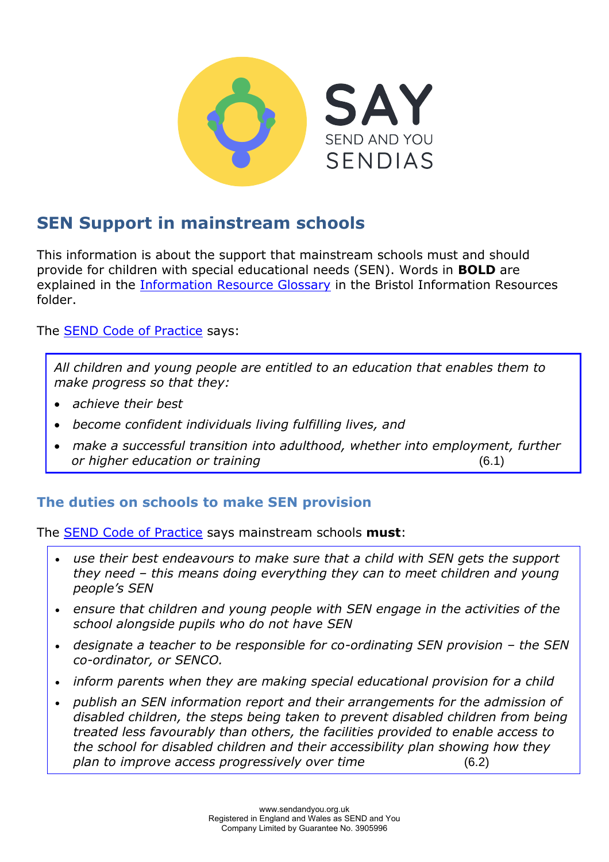

# **SEN Support in mainstream schools**

This information is about the support that mainstream schools must and should provide for children with special educational needs (SEN). Words in **BOLD** are explained in the **Information Resource Glossary** in the Bristol Information Resources folder.

The [SEND Code of Practice](https://www.gov.uk/government/publications/send-code-of-practice-0-to-25) says:

*All children and young people are entitled to an education that enables them to make progress so that they:* 

- *achieve their best*
- *become confident individuals living fulfilling lives, and*
- *make a successful transition into adulthood, whether into employment, further or higher education or training* (6.1)

## **The duties on schools to make SEN provision**

The [SEND Code of Practice](https://www.gov.uk/government/publications/send-code-of-practice-0-to-25) says mainstream schools **must**:

- *use their best endeavours to make sure that a child with SEN gets the support they need – this means doing everything they can to meet children and young people's SEN*
- *ensure that children and young people with SEN engage in the activities of the school alongside pupils who do not have SEN*
- *designate a teacher to be responsible for co-ordinating SEN provision the SEN co-ordinator, or SENCO.*
- *inform parents when they are making special educational provision for a child*
- *publish an SEN information report and their arrangements for the admission of disabled children, the steps being taken to prevent disabled children from being treated less favourably than others, the facilities provided to enable access to the school for disabled children and their accessibility plan showing how they plan to improve access progressively over time* (6.2)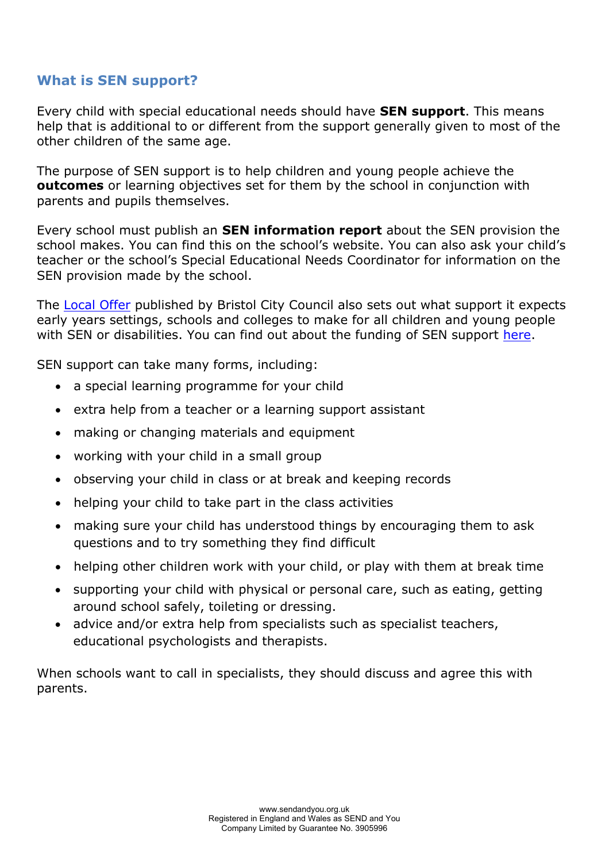# **What is SEN support?**

Every child with special educational needs should have **SEN support**. This means help that is additional to or different from the support generally given to most of the other children of the same age.

The purpose of SEN support is to help children and young people achieve the **outcomes** or learning objectives set for them by the school in conjunction with parents and pupils themselves.

Every school must publish an **SEN information report** about the SEN provision the school makes. You can find this on the school's website. You can also ask your child's teacher or the school's Special Educational Needs Coordinator for information on the SEN provision made by the school.

The [Local Offer](https://www.bristol.gov.uk/web/bristol-local-offer) published by Bristol City Council also sets out what support it expects early years settings, schools and colleges to make for all children and young people with SEN or disabilities. You can find out about the funding of SEN support [here.](https://www.bristol.gov.uk/web/bristol-local-offer/special-educational-needs-sen-funding-for-mainstream-schools-and-educational-settings)

SEN support can take many forms, including:

- a special learning programme for your child
- extra help from a teacher or a learning support assistant
- making or changing materials and equipment
- working with your child in a small group
- observing your child in class or at break and keeping records
- helping your child to take part in the class activities
- making sure your child has understood things by encouraging them to ask questions and to try something they find difficult
- helping other children work with your child, or play with them at break time
- supporting your child with physical or personal care, such as eating, getting around school safely, toileting or dressing.
- advice and/or extra help from specialists such as specialist teachers, educational psychologists and therapists.

When schools want to call in specialists, they should discuss and agree this with parents.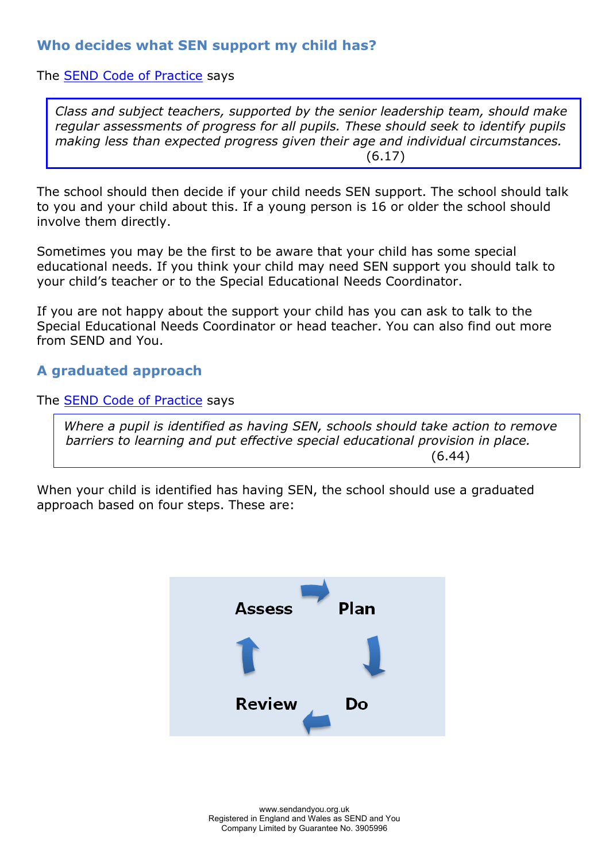# **Who decides what SEN support my child has?**

#### The [SEND Code of Practice](https://www.gov.uk/government/publications/send-code-of-practice-0-to-25) says

*Class and subject teachers, supported by the senior leadership team, should make regular assessments of progress for all pupils. These should seek to identify pupils making less than expected progress given their age and individual circumstances.*  (6.17)

The school should then decide if your child needs SEN support. The school should talk to you and your child about this. If a young person is 16 or older the school should involve them directly.

Sometimes you may be the first to be aware that your child has some special educational needs. If you think your child may need SEN support you should talk to your child's teacher or to the Special Educational Needs Coordinator.

If you are not happy about the support your child has you can ask to talk to the Special Educational Needs Coordinator or head teacher. You can also find out more from SEND and You.

## **A graduated approach**

The [SEND Code of Practice](https://www.gov.uk/government/publications/send-code-of-practice-0-to-25) says

 *Where a pupil is identified as having SEN, schools should take action to remove barriers to learning and put effective special educational provision in place.*  (6.44)

When your child is identified has having SEN, the school should use a graduated approach based on four steps. These are:

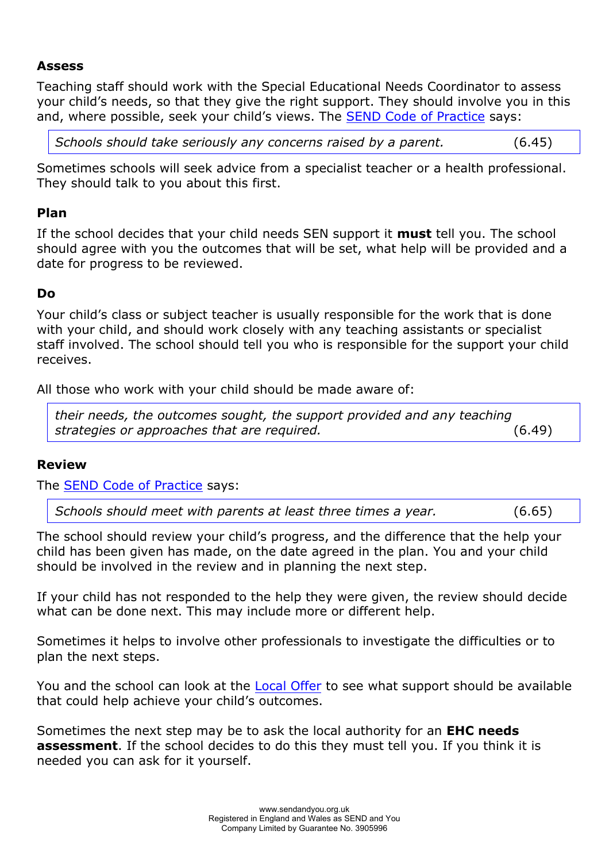#### **Assess**

Teaching staff should work with the Special Educational Needs Coordinator to assess your child's needs, so that they give the right support. They should involve you in this and, where possible, seek your child's views. The [SEND Code of Practice](https://www.gov.uk/government/publications/send-code-of-practice-0-to-25) says:

*Schools should take seriously any concerns raised by a parent.* (6.45)

Sometimes schools will seek advice from a specialist teacher or a health professional. They should talk to you about this first.

#### **Plan**

If the school decides that your child needs SEN support it **must** tell you. The school should agree with you the outcomes that will be set, what help will be provided and a date for progress to be reviewed.

## **Do**

Your child's class or subject teacher is usually responsible for the work that is done with your child, and should work closely with any teaching assistants or specialist staff involved. The school should tell you who is responsible for the support your child receives.

All those who work with your child should be made aware of:

*their needs, the outcomes sought, the support provided and any teaching strategies or approaches that are required.* (6.49)

#### **Review**

The [SEND Code of Practice](https://www.gov.uk/government/publications/send-code-of-practice-0-to-25) says:

*Schools should meet with parents at least three times a year.* (6.65)

The school should review your child's progress, and the difference that the help your child has been given has made, on the date agreed in the plan. You and your child should be involved in the review and in planning the next step.

If your child has not responded to the help they were given, the review should decide what can be done next. This may include more or different help.

Sometimes it helps to involve other professionals to investigate the difficulties or to plan the next steps.

You and the school can look at the [Local Offer](https://www.bristol.gov.uk/web/bristol-local-offer) to see what support should be available that could help achieve your child's outcomes.

Sometimes the next step may be to ask the local authority for an **EHC needs assessment**. If the school decides to do this they must tell you. If you think it is needed you can ask for it yourself.